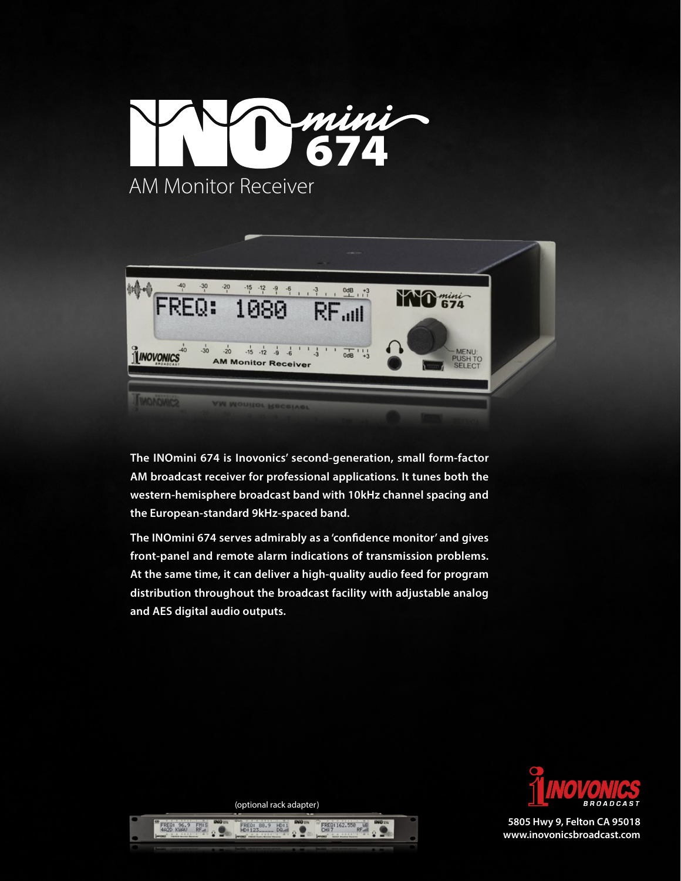



**The INOmini 674 is Inovonics' second-generation, small form-factor AM broadcast receiver for professional applications. It tunes both the western-hemisphere broadcast band with 10kHz channel spacing and the European-standard 9kHz-spaced band.**

**The INOmini 674 serves admirably as a 'confidence monitor' and gives front-panel and remote alarm indications of transmission problems. At the same time, it can deliver a high-quality audio feed for program distribution throughout the broadcast facility with adjustable analog and AES digital audio outputs.**



**5805 Hwy 9, Felton CA 95018 www.inovonicsbroadcast.com**

(optional rack adapter)